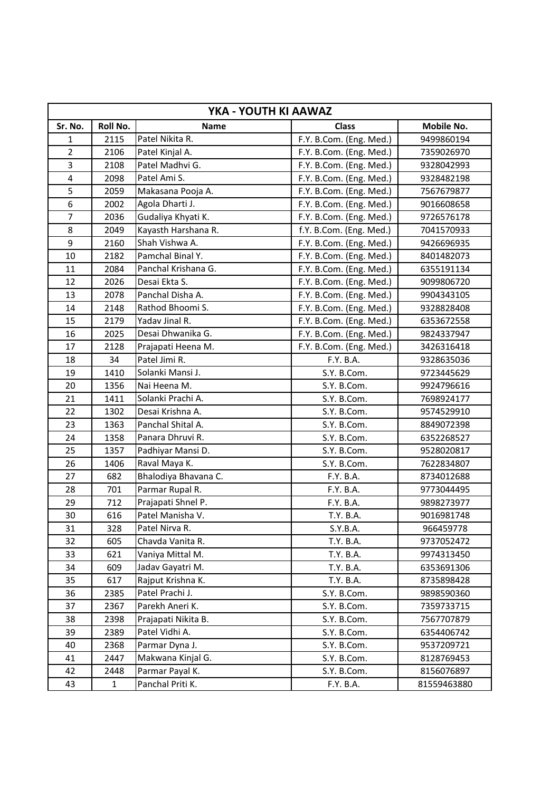| YKA - YOUTH KI AAWAZ |              |                      |                         |             |  |
|----------------------|--------------|----------------------|-------------------------|-------------|--|
| Sr. No.              | Roll No.     | <b>Name</b>          | <b>Class</b>            | Mobile No.  |  |
| 1                    | 2115         | Patel Nikita R.      | F.Y. B.Com. (Eng. Med.) | 9499860194  |  |
| $\overline{2}$       | 2106         | Patel Kinjal A.      | F.Y. B.Com. (Eng. Med.) | 7359026970  |  |
| 3                    | 2108         | Patel Madhvi G.      | F.Y. B.Com. (Eng. Med.) | 9328042993  |  |
| $\overline{4}$       | 2098         | Patel Ami S.         | F.Y. B.Com. (Eng. Med.) | 9328482198  |  |
| 5                    | 2059         | Makasana Pooja A.    | F.Y. B.Com. (Eng. Med.) | 7567679877  |  |
| 6                    | 2002         | Agola Dharti J.      | F.Y. B.Com. (Eng. Med.) | 9016608658  |  |
| $\overline{7}$       | 2036         | Gudaliya Khyati K.   | F.Y. B.Com. (Eng. Med.) | 9726576178  |  |
| 8                    | 2049         | Kayasth Harshana R.  | f.Y. B.Com. (Eng. Med.) | 7041570933  |  |
| 9                    | 2160         | Shah Vishwa A.       | F.Y. B.Com. (Eng. Med.) | 9426696935  |  |
| 10                   | 2182         | Pamchal Binal Y.     | F.Y. B.Com. (Eng. Med.) | 8401482073  |  |
| 11                   | 2084         | Panchal Krishana G.  | F.Y. B.Com. (Eng. Med.) | 6355191134  |  |
| 12                   | 2026         | Desai Ekta S.        | F.Y. B.Com. (Eng. Med.) | 9099806720  |  |
| 13                   | 2078         | Panchal Disha A.     | F.Y. B.Com. (Eng. Med.) | 9904343105  |  |
| 14                   | 2148         | Rathod Bhoomi S.     | F.Y. B.Com. (Eng. Med.) | 9328828408  |  |
| 15                   | 2179         | Yadav Jinal R.       | F.Y. B.Com. (Eng. Med.) | 6353672558  |  |
| 16                   | 2025         | Desai Dhwanika G.    | F.Y. B.Com. (Eng. Med.) | 9824337947  |  |
| 17                   | 2128         | Prajapati Heena M.   | F.Y. B.Com. (Eng. Med.) | 3426316418  |  |
| 18                   | 34           | Patel Jimi R.        | F.Y. B.A.               | 9328635036  |  |
| 19                   | 1410         | Solanki Mansi J.     | S.Y. B.Com.             | 9723445629  |  |
| 20                   | 1356         | Nai Heena M.         | S.Y. B.Com.             | 9924796616  |  |
| 21                   | 1411         | Solanki Prachi A.    | S.Y. B.Com.             | 7698924177  |  |
| 22                   | 1302         | Desai Krishna A.     | S.Y. B.Com.             | 9574529910  |  |
| 23                   | 1363         | Panchal Shital A.    | S.Y. B.Com.             | 8849072398  |  |
| 24                   | 1358         | Panara Dhruvi R.     | S.Y. B.Com.             | 6352268527  |  |
| 25                   | 1357         | Padhiyar Mansi D.    | S.Y. B.Com.             | 9528020817  |  |
| 26                   | 1406         | Raval Maya K.        | S.Y. B.Com.             | 7622834807  |  |
| 27                   | 682          | Bhalodiya Bhavana C. | F.Y. B.A.               | 8734012688  |  |
| 28                   | 701          | Parmar Rupal R.      | F.Y. B.A.               | 9773044495  |  |
| 29                   | 712          | Prajapati Shnel P.   | F.Y. B.A.               | 9898273977  |  |
| 30                   | 616          | Patel Manisha V.     | T.Y. B.A.               | 9016981748  |  |
| 31                   | 328          | Patel Nirva R.       | S.Y.B.A.                | 966459778   |  |
| 32                   | 605          | Chavda Vanita R.     | T.Y. B.A.               | 9737052472  |  |
| 33                   | 621          | Vaniya Mittal M.     | T.Y. B.A.               | 9974313450  |  |
| 34                   | 609          | Jadav Gayatri M.     | T.Y. B.A.               | 6353691306  |  |
| 35                   | 617          | Rajput Krishna K.    | T.Y. B.A.               | 8735898428  |  |
| 36                   | 2385         | Patel Prachi J.      | S.Y. B.Com.             | 9898590360  |  |
| 37                   | 2367         | Parekh Aneri K.      | S.Y. B.Com.             | 7359733715  |  |
| 38                   | 2398         | Prajapati Nikita B.  | S.Y. B.Com.             | 7567707879  |  |
| 39                   | 2389         | Patel Vidhi A.       | S.Y. B.Com.             | 6354406742  |  |
| 40                   | 2368         | Parmar Dyna J.       | S.Y. B.Com.             | 9537209721  |  |
| 41                   | 2447         | Makwana Kinjal G.    | S.Y. B.Com.             | 8128769453  |  |
| 42                   | 2448         | Parmar Payal K.      | S.Y. B.Com.             | 8156076897  |  |
| 43                   | $\mathbf{1}$ | Panchal Priti K.     | F.Y. B.A.               | 81559463880 |  |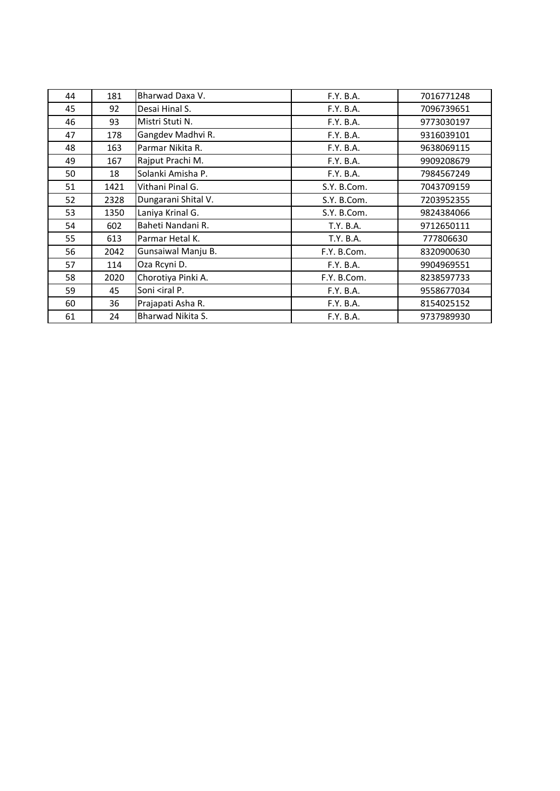| 44 | 181  | Bharwad Daxa V.                                                      | F.Y. B.A.   | 7016771248 |
|----|------|----------------------------------------------------------------------|-------------|------------|
| 45 | 92   | Desai Hinal S.                                                       | F.Y. B.A.   | 7096739651 |
| 46 | 93   | Mistri Stuti N.                                                      | F.Y. B.A.   | 9773030197 |
| 47 | 178  | Gangdev Madhvi R.                                                    | F.Y. B.A.   | 9316039101 |
| 48 | 163  | Parmar Nikita R.                                                     | F.Y. B.A.   | 9638069115 |
| 49 | 167  | Rajput Prachi M.                                                     | F.Y. B.A.   | 9909208679 |
| 50 | 18   | Solanki Amisha P.                                                    | F.Y. B.A.   | 7984567249 |
| 51 | 1421 | Vithani Pinal G.                                                     | S.Y. B.Com. | 7043709159 |
| 52 | 2328 | Dungarani Shital V.                                                  | S.Y. B.Com. | 7203952355 |
| 53 | 1350 | Laniya Krinal G.                                                     | S.Y. B.Com. | 9824384066 |
| 54 | 602  | Baheti Nandani R.                                                    | T.Y. B.A.   | 9712650111 |
| 55 | 613  | Parmar Hetal K.                                                      | T.Y. B.A.   | 777806630  |
| 56 | 2042 | Gunsaiwal Manju B.                                                   | F.Y. B.Com. | 8320900630 |
| 57 | 114  | Oza Rcyni D.                                                         | F.Y. B.A.   | 9904969551 |
| 58 | 2020 | Chorotiya Pinki A.                                                   | F.Y. B.Com. | 8238597733 |
| 59 | 45   | Soni <iral p.<="" td=""><td>F.Y. B.A.</td><td>9558677034</td></iral> | F.Y. B.A.   | 9558677034 |
| 60 | 36   | Prajapati Asha R.                                                    | F.Y. B.A.   | 8154025152 |
| 61 | 24   | Bharwad Nikita S.                                                    | F.Y. B.A.   | 9737989930 |